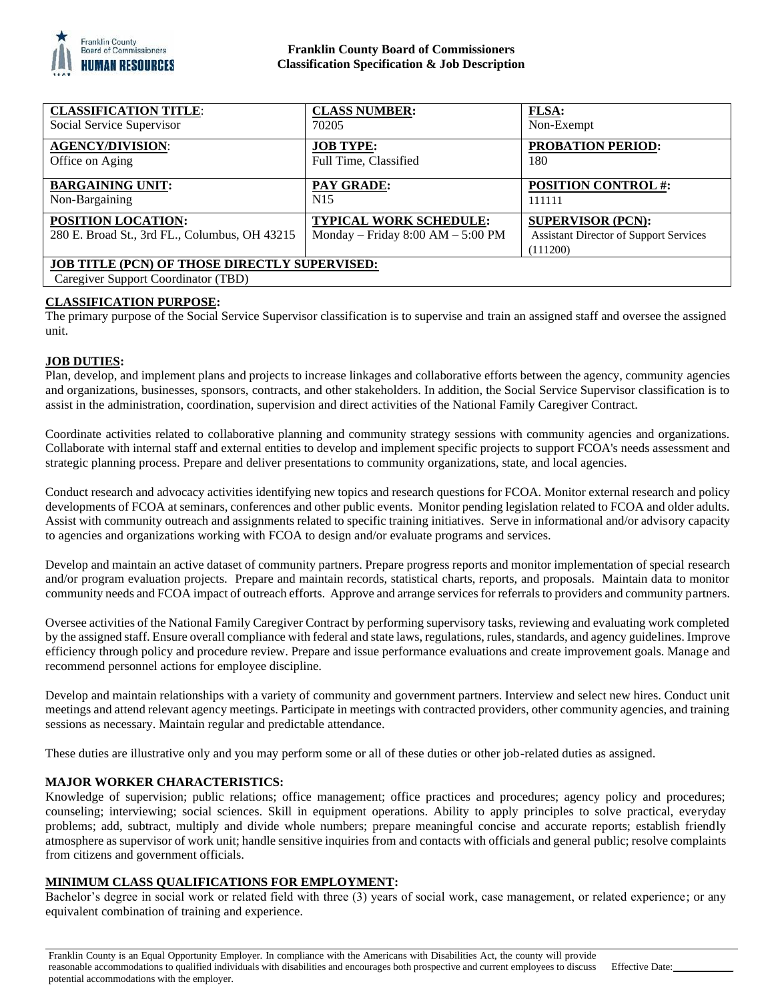

## **Franklin County Board of Commissioners Classification Specification & Job Description**

| <b>CLASSIFICATION TITLE:</b>                         | <b>CLASS NUMBER:</b>                | <b>FLSA:</b>                                  |
|------------------------------------------------------|-------------------------------------|-----------------------------------------------|
| Social Service Supervisor                            | 70205                               | Non-Exempt                                    |
| <b>AGENCY/DIVISION:</b>                              | <b>JOB TYPE:</b>                    | <b>PROBATION PERIOD:</b>                      |
| Office on Aging                                      | Full Time, Classified               | 180                                           |
| <b>BARGAINING UNIT:</b>                              | PAY GRADE:                          | <b>POSITION CONTROL #:</b>                    |
| Non-Bargaining                                       | N <sub>15</sub>                     | 111111                                        |
| POSITION LOCATION:                                   | <b>TYPICAL WORK SCHEDULE:</b>       | <b>SUPERVISOR (PCN):</b>                      |
| 280 E. Broad St., 3rd FL., Columbus, OH 43215        | Monday – Friday $8:00 AM - 5:00 PM$ | <b>Assistant Director of Support Services</b> |
|                                                      |                                     | (111200)                                      |
| <b>JOB TITLE (PCN) OF THOSE DIRECTLY SUPERVISED:</b> |                                     |                                               |
| Caregiver Support Coordinator (TBD)                  |                                     |                                               |

## **CLASSIFICATION PURPOSE:**

The primary purpose of the Social Service Supervisor classification is to supervise and train an assigned staff and oversee the assigned unit.

## **JOB DUTIES:**

Plan, develop, and implement plans and projects to increase linkages and collaborative efforts between the agency, community agencies and organizations, businesses, sponsors, contracts, and other stakeholders. In addition, the Social Service Supervisor classification is to assist in the administration, coordination, supervision and direct activities of the National Family Caregiver Contract.

Coordinate activities related to collaborative planning and community strategy sessions with community agencies and organizations. Collaborate with internal staff and external entities to develop and implement specific projects to support FCOA's needs assessment and strategic planning process. Prepare and deliver presentations to community organizations, state, and local agencies.

Conduct research and advocacy activities identifying new topics and research questions for FCOA. Monitor external research and policy developments of FCOA at seminars, conferences and other public events. Monitor pending legislation related to FCOA and older adults. Assist with community outreach and assignments related to specific training initiatives. Serve in informational and/or advisory capacity to agencies and organizations working with FCOA to design and/or evaluate programs and services.

Develop and maintain an active dataset of community partners. Prepare progress reports and monitor implementation of special research and/or program evaluation projects. Prepare and maintain records, statistical charts, reports, and proposals. Maintain data to monitor community needs and FCOA impact of outreach efforts. Approve and arrange services for referrals to providers and community partners.

Oversee activities of the National Family Caregiver Contract by performing supervisory tasks, reviewing and evaluating work completed by the assigned staff. Ensure overall compliance with federal and state laws, regulations, rules, standards, and agency guidelines. Improve efficiency through policy and procedure review. Prepare and issue performance evaluations and create improvement goals. Manage and recommend personnel actions for employee discipline.

Develop and maintain relationships with a variety of community and government partners. Interview and select new hires. Conduct unit meetings and attend relevant agency meetings. Participate in meetings with contracted providers, other community agencies, and training sessions as necessary. Maintain regular and predictable attendance.

These duties are illustrative only and you may perform some or all of these duties or other job-related duties as assigned.

#### **MAJOR WORKER CHARACTERISTICS:**

Knowledge of supervision; public relations; office management; office practices and procedures; agency policy and procedures; counseling; interviewing; social sciences. Skill in equipment operations. Ability to apply principles to solve practical, everyday problems; add, subtract, multiply and divide whole numbers; prepare meaningful concise and accurate reports; establish friendly atmosphere as supervisor of work unit; handle sensitive inquiries from and contacts with officials and general public; resolve complaints from citizens and government officials.

#### **MINIMUM CLASS QUALIFICATIONS FOR EMPLOYMENT:**

Bachelor's degree in social work or related field with three (3) years of social work, case management, or related experience; or any equivalent combination of training and experience.